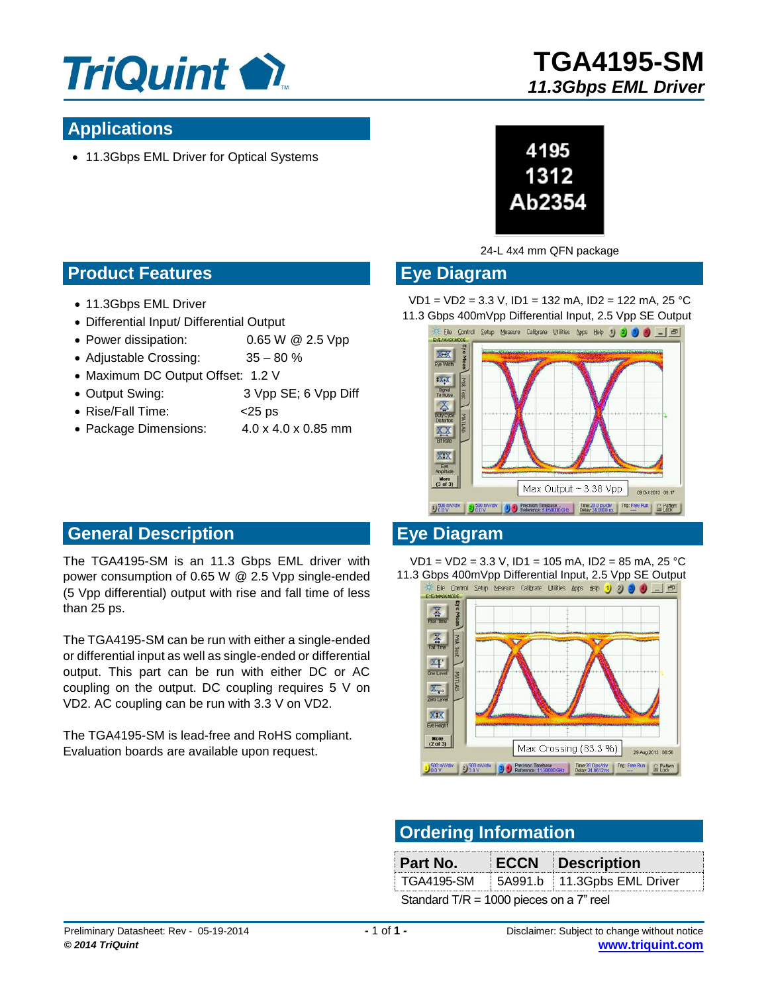

## **Applications**

• 11.3Gbps EML Driver for Optical Systems



#### 24-L 4x4 mm QFN package

#### **Eye Diagram**

VD1 = VD2 = 3.3 V, ID1 = 132 mA, ID2 = 122 mA, 25 °C



- 11.3Gbps EML Driver
- Differential Input/ Differential Output
- Power dissipation: 0.65 W @ 2.5 Vpp
- Adjustable Crossing: 35 80 %
- Maximum DC Output Offset: 1.2 V
- Output Swing: 3 Vpp SE; 6 Vpp Diff
- Rise/Fall Time: <25 ps
- Package Dimensions: 4.0 x 4.0 x 0.85 mm



Max Output ~ 3.38 Vpp

1000 mV/div 2000 mV/div 30 C Precision Timebase... Time 200 ps/div Trig: Free Run C Pattern 30 C Pattern B C Pattern 30 C Run Run C Pattern 30 C Run Run C Pattern 30 C Run Run Lock

09 Oct 2013 09:17

#### **General Description**

The TGA4195-SM is an 11.3 Gbps EML driver with power consumption of 0.65 W @ 2.5 Vpp single-ended (5 Vpp differential) output with rise and fall time of less than 25 ps.

The TGA4195-SM can be run with either a single-ended or differential input as well as single-ended or differential output. This part can be run with either DC or AC coupling on the output. DC coupling requires 5 V on VD2. AC coupling can be run with 3.3 V on VD2.

The TGA4195-SM is lead-free and RoHS compliant. Evaluation boards are available upon request.

#### **Eye Diagram**

Eye<br>mplitude More<br> $(3 \text{ of } 3)$ 

VD1 = VD2 = 3.3 V, ID1 = 105 mA, ID2 = 85 mA, 25 °C 11.3 Gbps 400mVpp Differential Input, 2.5 Vpp SE Output<br>  $\frac{1}{2}$  Elle Control Setup Measure Calibrate Utilities Apps Help 1 2 3 4 1 5



### **Ordering Information**

| Part No.                                   |  | <b>ECCN Description</b>     |
|--------------------------------------------|--|-----------------------------|
| TGA4195-SM                                 |  | 5A991.b 11.3Gpbs EML Driver |
| Standard T/R = 1000 pieces on a $7$ " reel |  |                             |